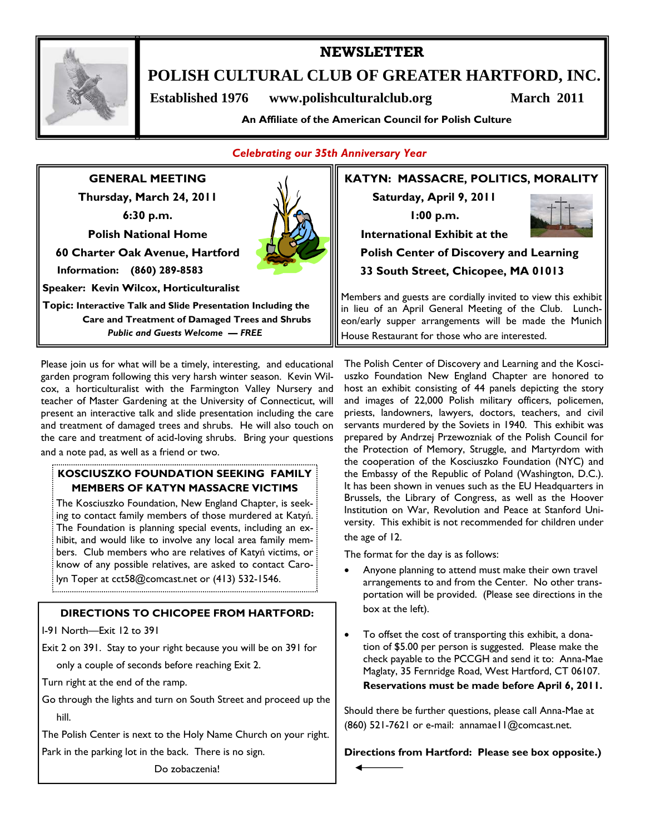

# **NEWSLETTER**

**POLISH CULTURAL CLUB OF GREATER HARTFORD, INC.** 

 **Established 1976 www.polishculturalclub.org March 2011** 

**An Affiliate of the American Council for Polish Culture** 

## *Celebrating our 35th Anniversary Year*

**GENERAL MEETING Thursday, March 24, 2011 6:30 p.m. Polish National Home 60 Charter Oak Avenue, Hartford Information: (860) 289-8583 Speaker: Kevin Wilcox, Horticulturalist Topic: Interactive Talk and Slide Presentation Including the** 

 **Care and Treatment of Damaged Trees and Shrubs**  *Public and Guests Welcome — FREE* 

Please join us for what will be a timely, interesting, and educational garden program following this very harsh winter season. Kevin Wilcox, a horticulturalist with the Farmington Valley Nursery and teacher of Master Gardening at the University of Connecticut, will present an interactive talk and slide presentation including the care and treatment of damaged trees and shrubs. He will also touch on the care and treatment of acid-loving shrubs. Bring your questions and a note pad, as well as a friend or two.

#### **KOSCIUSZKO FOUNDATION SEEKING FAMILY MEMBERS OF KATYN MASSACRE VICTIMS**

The Kosciuszko Foundation, New England Chapter, is seeking to contact family members of those murdered at Katyń. The Foundation is planning special events, including an exhibit, and would like to involve any local area family members. Club members who are relatives of Katyń victims, or know of any possible relatives, are asked to contact Carolyn Toper at cct58@comcast.net or (413) 532-1546.

# **DIRECTIONS TO CHICOPEE FROM HARTFORD:**

I-91 North—Exit 12 to 391

Exit 2 on 391. Stay to your right because you will be on 391 for

only a couple of seconds before reaching Exit 2.

Turn right at the end of the ramp.

Go through the lights and turn on South Street and proceed up the hill.

The Polish Center is next to the Holy Name Church on your right.

Park in the parking lot in the back. There is no sign.

Do zobaczenia!

**KATYN: MASSACRE, POLITICS, MORALITY Saturday, April 9, 2011 1:00 p.m. International Exhibit at the Polish Center of Discovery and Learning 33 South Street, Chicopee, MA 01013**

Members and guests are cordially invited to view this exhibit in lieu of an April General Meeting of the Club. Luncheon/early supper arrangements will be made the Munich House Restaurant for those who are interested.

The Polish Center of Discovery and Learning and the Kosciuszko Foundation New England Chapter are honored to host an exhibit consisting of 44 panels depicting the story and images of 22,000 Polish military officers, policemen, priests, landowners, lawyers, doctors, teachers, and civil servants murdered by the Soviets in 1940. This exhibit was prepared by Andrzej Przewozniak of the Polish Council for the Protection of Memory, Struggle, and Martyrdom with the cooperation of the Kosciuszko Foundation (NYC) and the Embassy of the Republic of Poland (Washington, D.C.). It has been shown in venues such as the EU Headquarters in Brussels, the Library of Congress, as well as the Hoover Institution on War, Revolution and Peace at Stanford University. This exhibit is not recommended for children under the age of 12.

The format for the day is as follows:

- Anyone planning to attend must make their own travel arrangements to and from the Center. No other transportation will be provided. (Please see directions in the box at the left).
- To offset the cost of transporting this exhibit, a donation of \$5.00 per person is suggested. Please make the check payable to the PCCGH and send it to: Anna-Mae Maglaty, 35 Fernridge Road, West Hartford, CT 06107.

#### **Reservations must be made before April 6, 2011.**

Should there be further questions, please call Anna-Mae at (860) 521-7621 or e-mail: annamae11@comcast.net.

**Directions from Hartford: Please see box opposite.)** 

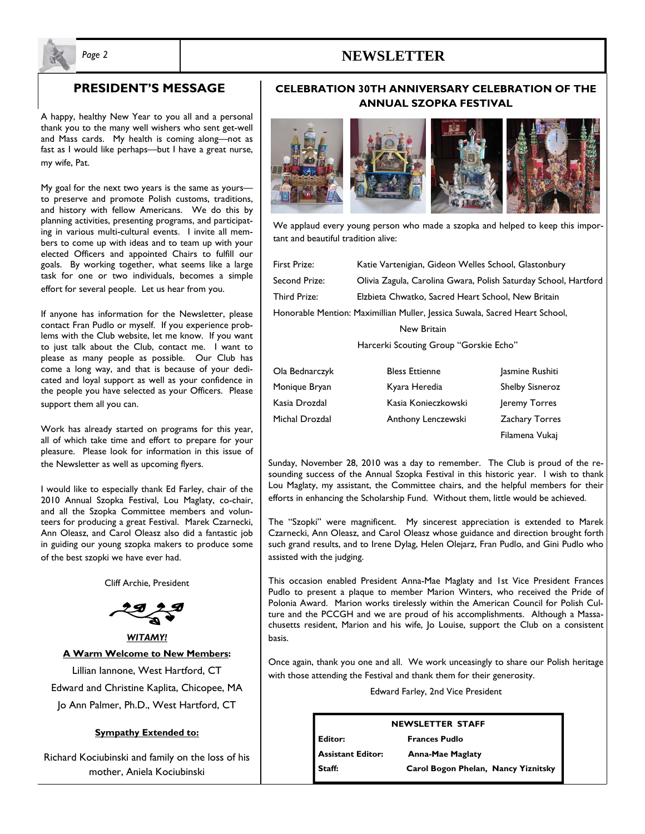# *Page 2* **NEWSLETTER**



## **PRESIDENT'S MESSAGE**

A happy, healthy New Year to you all and a personal thank you to the many well wishers who sent get-well and Mass cards. My health is coming along—not as fast as I would like perhaps—but I have a great nurse, my wife, Pat.

My goal for the next two years is the same as yours to preserve and promote Polish customs, traditions, and history with fellow Americans. We do this by planning activities, presenting programs, and participating in various multi-cultural events. I invite all members to come up with ideas and to team up with your elected Officers and appointed Chairs to fulfill our goals. By working together, what seems like a large task for one or two individuals, becomes a simple effort for several people. Let us hear from you.

If anyone has information for the Newsletter, please contact Fran Pudlo or myself. If you experience problems with the Club website, let me know. If you want to just talk about the Club, contact me. I want to please as many people as possible. Our Club has come a long way, and that is because of your dedicated and loyal support as well as your confidence in the people you have selected as your Officers. Please support them all you can.

Work has already started on programs for this year, all of which take time and effort to prepare for your pleasure. Please look for information in this issue of the Newsletter as well as upcoming flyers.

I would like to especially thank Ed Farley, chair of the 2010 Annual Szopka Festival, Lou Maglaty, co-chair, and all the Szopka Committee members and volunteers for producing a great Festival. Marek Czarnecki, Ann Oleasz, and Carol Oleasz also did a fantastic job in guiding our young szopka makers to produce some of the best szopki we have ever had.

Cliff Archie, President





Lillian Iannone, West Hartford, CT Edward and Christine Kaplita, Chicopee, MA Jo Ann Palmer, Ph.D., West Hartford, CT

#### **Sympathy Extended to:**

Richard Kociubinski and family on the loss of his mother, Aniela Kociubinski

#### **CELEBRATION 30TH ANNIVERSARY CELEBRATION OF THE ANNUAL SZOPKA FESTIVAL**



We applaud every young person who made a szopka and helped to keep this important and beautiful tradition alive:

| <b>First Prize:</b>                                                         | Katie Vartenigian, Gideon Welles School, Glastonbury            |  |  |
|-----------------------------------------------------------------------------|-----------------------------------------------------------------|--|--|
| Second Prize:                                                               | Olivia Zagula, Carolina Gwara, Polish Saturday School, Hartford |  |  |
| Third Prize:                                                                | Elzbieta Chwatko, Sacred Heart School, New Britain              |  |  |
| Honorable Mention: Maximillian Muller, Jessica Suwala, Sacred Heart School, |                                                                 |  |  |
| New Britain                                                                 |                                                                 |  |  |

Harcerki Scouting Group "Gorskie Echo"

| Ola Bednarczyk | <b>Bless Ettienne</b> | Jasmine Rushiti        |
|----------------|-----------------------|------------------------|
| Monique Bryan  | Kyara Heredia         | <b>Shelby Sisneroz</b> |
| Kasia Drozdal  | Kasia Konieczkowski   | Jeremy Torres          |
| Michal Drozdal | Anthony Lenczewski    | <b>Zachary Torres</b>  |
|                |                       |                        |

Sunday, November 28, 2010 was a day to remember. The Club is proud of the resounding success of the Annual Szopka Festival in this historic year. I wish to thank Lou Maglaty, my assistant, the Committee chairs, and the helpful members for their efforts in enhancing the Scholarship Fund. Without them, little would be achieved.

Filamena Vukaj

The "Szopki" were magnificent. My sincerest appreciation is extended to Marek Czarnecki, Ann Oleasz, and Carol Oleasz whose guidance and direction brought forth such grand results, and to Irene Dylag, Helen Olejarz, Fran Pudlo, and Gini Pudlo who assisted with the judging.

This occasion enabled President Anna-Mae Maglaty and 1st Vice President Frances Pudlo to present a plaque to member Marion Winters, who received the Pride of Polonia Award. Marion works tirelessly within the American Council for Polish Culture and the PCCGH and we are proud of his accomplishments. Although a Massachusetts resident, Marion and his wife, Jo Louise, support the Club on a consistent basis.

Once again, thank you one and all. We work unceasingly to share our Polish heritage with those attending the Festival and thank them for their generosity.

Edward Farley, 2nd Vice President

| <b>NEWSLETTER STAFF</b>  |                                     |  |  |
|--------------------------|-------------------------------------|--|--|
| Editor:                  | <b>Frances Pudlo</b>                |  |  |
| <b>Assistant Editor:</b> | <b>Anna-Mae Maglaty</b>             |  |  |
| Staff:                   | Carol Bogon Phelan, Nancy Yiznitsky |  |  |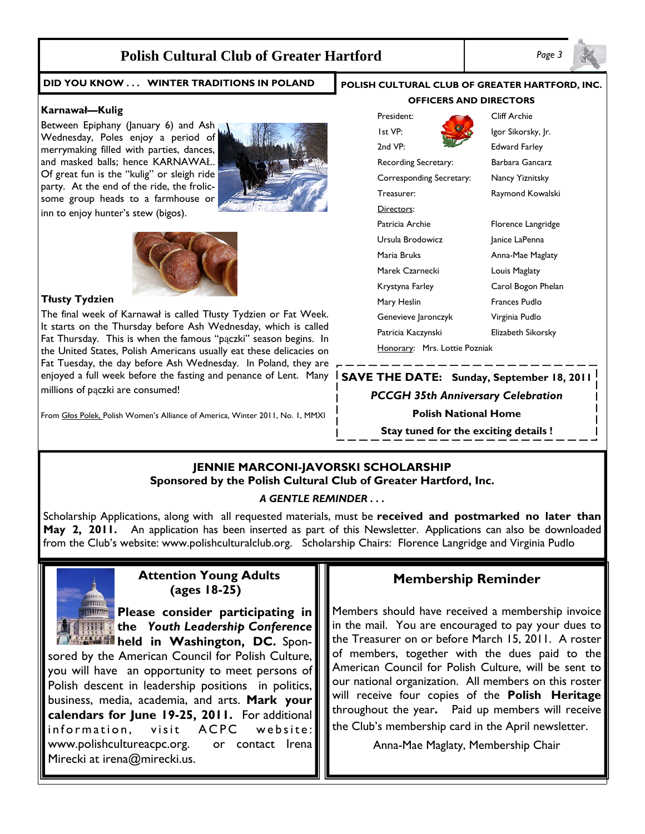# **Polish Cultural Club of Greater Hartford** *Page 3*

#### **DID YOU KNOW . . . WINTER TRADITIONS IN POLAND**

#### **Karnawał—Kulig**

Between Epiphany (January 6) and Ash Wednesday, Poles enjoy a period of merrymaking filled with parties, dances, and masked balls; hence KARNAWAŁ. Of great fun is the "kulig" or sleigh ride party. At the end of the ride, the frolicsome group heads to a farmhouse or inn to enjoy hunter's stew (bigos).





#### **Tłusty Tydzien**

The final week of Karnawał is called Tłusty Tydzien or Fat Week. It starts on the Thursday before Ash Wednesday, which is called Fat Thursday. This is when the famous "pączki" season begins. In the United States, Polish Americans usually eat these delicacies on Fat Tuesday, the day before Ash Wednesday. In Poland, they are enjoyed a full week before the fasting and penance of Lent. Many millions of paczki are consumed!

From Głos Polek, Polish Women's Alliance of America, Winter 2011, No. 1, MMXI

# **POLISH CULTURAL CLUB OF GREATER HARTFORD, INC. OFFICERS AND DIRECTORS**



Directors:



2nd VP: Edward Farley Recording Secretary: Barbara Gancarz Corresponding Secretary: Nancy Yiznitsky Treasurer: Raymond Kowalski Patricia Archie Florence Langridge Ursula Brodowicz Janice LaPenna Maria Bruks **Anna-Mae Maglaty** Marek Czarnecki Louis Maglaty

Krystyna Farley Carol Bogon Phelan Mary Heslin Frances Pudlo Genevieve Jaronczyk Virginia Pudlo Patricia Kaczynski Elizabeth Sikorsky

# **SAVE THE DATE: Sunday, September 18, 2011**

Honorary: Mrs. Lottie Pozniak

#### *PCCGH 35th Anniversary Celebration*

**Polish National Home** 

**Stay tuned for the exciting details !** 

## **JENNIE MARCONI-JAVORSKI SCHOLARSHIP Sponsored by the Polish Cultural Club of Greater Hartford, Inc.**

#### *A GENTLE REMINDER . . .*

Scholarship Applications, along with all requested materials, must be **received and postmarked no later than May 2, 2011.** An application has been inserted as part of this Newsletter. Applications can also be downloaded from the Club's website: www.polishculturalclub.org. Scholarship Chairs: Florence Langridge and Virginia Pudlo

# **Attention Young Adults (ages 18-25)**

**Please consider participating in the** *Youth Leadership Conference held* in Washington, DC. Spon-

sored by the American Council for Polish Culture, you will have an opportunity to meet persons of Polish descent in leadership positions in politics, business, media, academia, and arts. **Mark your calendars for June 19-25, 2011.** For additional information, visit ACPC website: www.polishcultureacpc.org. or contact Irena Mirecki at irena@mirecki.us.

# **Membership Reminder**

Members should have received a membership invoice in the mail. You are encouraged to pay your dues to the Treasurer on or before March 15, 2011. A roster of members, together with the dues paid to the American Council for Polish Culture, will be sent to our national organization. All members on this roster will receive four copies of the **Polish Heritage**  throughout the year**.** Paid up members will receive the Club's membership card in the April newsletter.

Anna-Mae Maglaty, Membership Chair